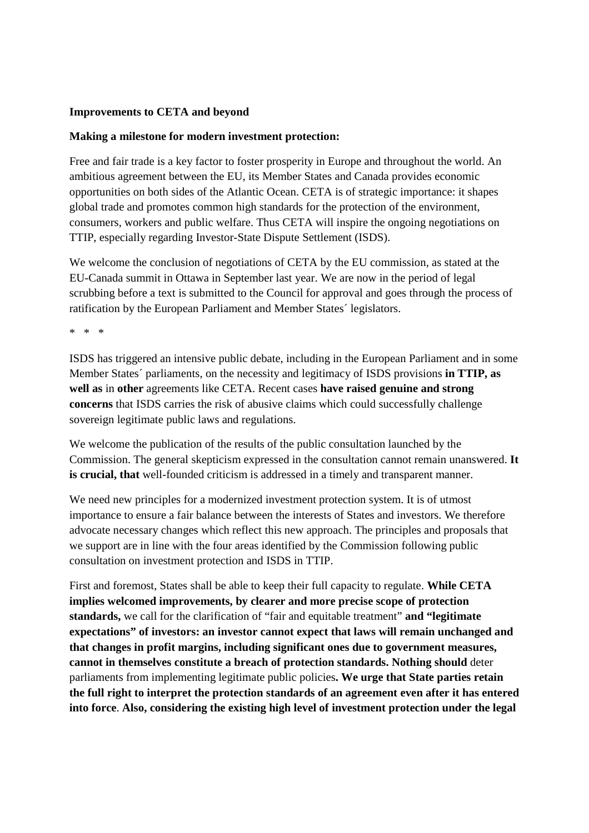## **Improvements to CETA and beyond**

## **Making a milestone for modern investment protection:**

Free and fair trade is a key factor to foster prosperity in Europe and throughout the world. An ambitious agreement between the EU, its Member States and Canada provides economic opportunities on both sides of the Atlantic Ocean. CETA is of strategic importance: it shapes global trade and promotes common high standards for the protection of the environment, consumers, workers and public welfare. Thus CETA will inspire the ongoing negotiations on TTIP, especially regarding Investor-State Dispute Settlement (ISDS).

We welcome the conclusion of negotiations of CETA by the EU commission, as stated at the EU-Canada summit in Ottawa in September last year. We are now in the period of legal scrubbing before a text is submitted to the Council for approval and goes through the process of ratification by the European Parliament and Member States´ legislators.

\* \* \*

ISDS has triggered an intensive public debate, including in the European Parliament and in some Member States´ parliaments, on the necessity and legitimacy of ISDS provisions **in TTIP, as well as** in **other** agreements like CETA. Recent cases **have raised genuine and strong concerns** that ISDS carries the risk of abusive claims which could successfully challenge sovereign legitimate public laws and regulations.

We welcome the publication of the results of the public consultation launched by the Commission. The general skepticism expressed in the consultation cannot remain unanswered. **It is crucial, that** well-founded criticism is addressed in a timely and transparent manner.

We need new principles for a modernized investment protection system. It is of utmost importance to ensure a fair balance between the interests of States and investors. We therefore advocate necessary changes which reflect this new approach. The principles and proposals that we support are in line with the four areas identified by the Commission following public consultation on investment protection and ISDS in TTIP.

First and foremost, States shall be able to keep their full capacity to regulate. **While CETA implies welcomed improvements, by clearer and more precise scope of protection standards,** we call for the clarification of "fair and equitable treatment" **and "legitimate expectations" of investors: an investor cannot expect that laws will remain unchanged and that changes in profit margins, including significant ones due to government measures, cannot in themselves constitute a breach of protection standards. Nothing should** deter parliaments from implementing legitimate public policies**. We urge that State parties retain the full right to interpret the protection standards of an agreement even after it has entered into force**. **Also, considering the existing high level of investment protection under the legal**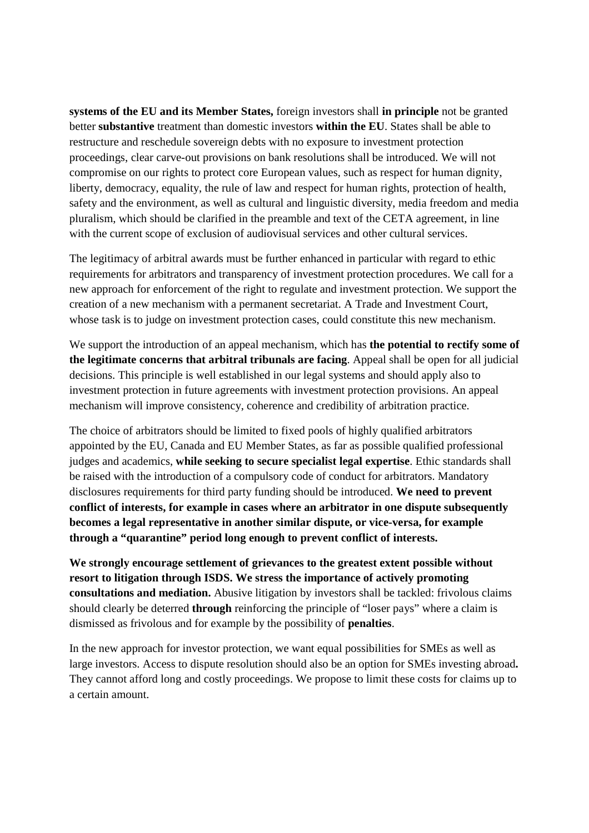**systems of the EU and its Member States,** foreign investors shall **in principle** not be granted better **substantive** treatment than domestic investors **within the EU**. States shall be able to restructure and reschedule sovereign debts with no exposure to investment protection proceedings, clear carve-out provisions on bank resolutions shall be introduced. We will not compromise on our rights to protect core European values, such as respect for human dignity, liberty, democracy, equality, the rule of law and respect for human rights, protection of health, safety and the environment, as well as cultural and linguistic diversity, media freedom and media pluralism, which should be clarified in the preamble and text of the CETA agreement, in line with the current scope of exclusion of audiovisual services and other cultural services.

The legitimacy of arbitral awards must be further enhanced in particular with regard to ethic requirements for arbitrators and transparency of investment protection procedures. We call for a new approach for enforcement of the right to regulate and investment protection. We support the creation of a new mechanism with a permanent secretariat. A Trade and Investment Court, whose task is to judge on investment protection cases, could constitute this new mechanism.

We support the introduction of an appeal mechanism, which has **the potential to rectify some of the legitimate concerns that arbitral tribunals are facing**. Appeal shall be open for all judicial decisions. This principle is well established in our legal systems and should apply also to investment protection in future agreements with investment protection provisions. An appeal mechanism will improve consistency, coherence and credibility of arbitration practice.

The choice of arbitrators should be limited to fixed pools of highly qualified arbitrators appointed by the EU, Canada and EU Member States, as far as possible qualified professional judges and academics, **while seeking to secure specialist legal expertise**. Ethic standards shall be raised with the introduction of a compulsory code of conduct for arbitrators. Mandatory disclosures requirements for third party funding should be introduced. **We need to prevent conflict of interests, for example in cases where an arbitrator in one dispute subsequently becomes a legal representative in another similar dispute, or vice-versa, for example through a "quarantine" period long enough to prevent conflict of interests.**

**We strongly encourage settlement of grievances to the greatest extent possible without resort to litigation through ISDS. We stress the importance of actively promoting consultations and mediation.** Abusive litigation by investors shall be tackled: frivolous claims should clearly be deterred **through** reinforcing the principle of "loser pays" where a claim is dismissed as frivolous and for example by the possibility of **penalties**.

In the new approach for investor protection, we want equal possibilities for SMEs as well as large investors. Access to dispute resolution should also be an option for SMEs investing abroad**.**  They cannot afford long and costly proceedings. We propose to limit these costs for claims up to a certain amount.